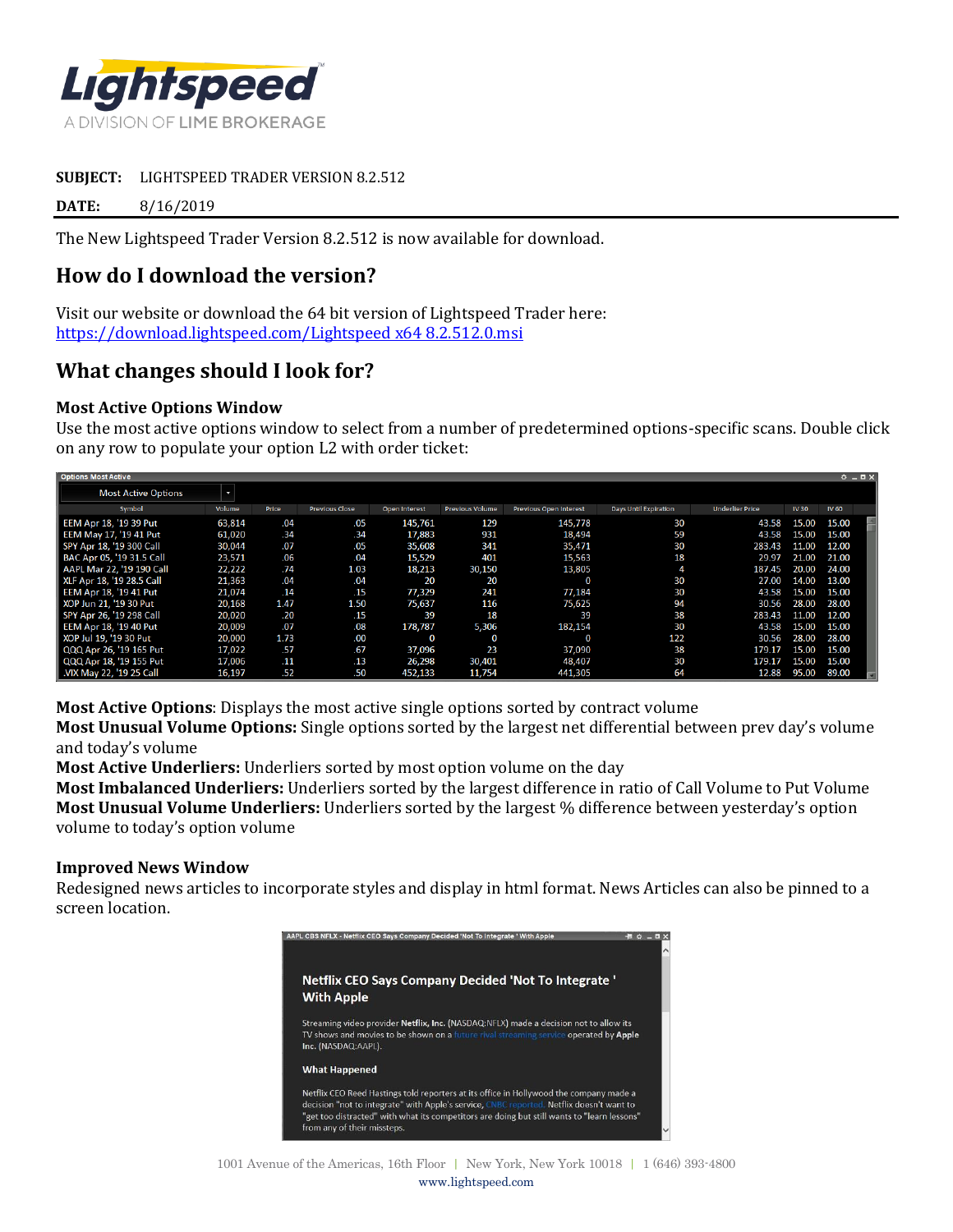

#### **SUBJECT:** LIGHTSPEED TRADER VERSION 8.2.512

**DATE:** 8/16/2019

The New Lightspeed Trader Version 8.2.512 is now available for download.

# **How do I download the version?**

Visit our website or download the 64 bit version of Lightspeed Trader here: [https://download.lightspeed.com/Lightspeed x64 8.2.512.0.msi](https://download.lightspeed.com/Lightspeed%20x64%208.2.512.0.msi)

# **What changes should I look for?**

### **Most Active Options Window**

Use the most active options window to select from a number of predetermined options-specific scans. Double click on any row to populate your option L2 with order ticket:

| <b>Options Most Active</b> |        |       |                       |               |                        |                               |                       |                        |              |              | $0 - 0X$ |
|----------------------------|--------|-------|-----------------------|---------------|------------------------|-------------------------------|-----------------------|------------------------|--------------|--------------|----------|
| <b>Most Active Options</b> | ł.     |       |                       |               |                        |                               |                       |                        |              |              |          |
| Symbol                     | Volume | Price | <b>Previous Close</b> | Open Interest | <b>Previous Volume</b> | <b>Previous Open Interest</b> | Days Until Expiration | <b>Underlier Price</b> | <b>IV 30</b> | <b>IV 60</b> |          |
| EEM Apr 18, '19 39 Put     | 63,814 | .04   | .05                   | 145,761       | 129                    | 145,778                       | 30                    | 43.58                  | 15.00        | 15.00        |          |
| EEM May 17. '19 41 Put     | 61,020 | .34   | .34                   | 17,883        | 931                    | 18,494                        | 59                    | 43.58                  | 15.00        | 15.00        |          |
| SPY Apr 18, '19 300 Call   | 30,044 | .07   | .05                   | 35,608        | 341                    | 35,471                        | 30                    | 283.43                 | 11.00        | 12.00        |          |
| BAC Apr 05, '19 31.5 Call  | 23,571 | .06   | .04                   | 15,529        | 401                    | 15,563                        | 18                    | 29.97                  | 21.00        | 21.00        |          |
| AAPL Mar 22. '19 190 Call  | 22,222 | .74   | 1.03                  | 18,213        | 30,150                 | 13,805                        |                       | 187.45                 | 20.00        | 24.00        |          |
| XLF Apr 18, '19 28.5 Call  | 21.363 | .04   | .04                   | 20            | 20                     | $\Omega$                      | 30                    | 27.00                  | 14.00        | 13.00        |          |
| EEM Apr 18, '19 41 Put     | 21,074 | .14   | .15                   | 77.329        | 241                    | 77.184                        | 30                    | 43.58                  | 15.00        | 15.00        |          |
| XOP Jun 21, '19 30 Put     | 20,168 | 1.47  | 1.50                  | 75,637        | 116                    | 75,625                        | 94                    | 30.56                  | 28.00        | 28.00        |          |
| SPY Apr 26, '19 298 Call   | 20,020 | .20   | .15                   | 39            | 18                     | 39                            | 38                    | 283.43                 | 11.00        | 12.00        |          |
| EEM Apr 18, '19 40 Put     | 20,009 | .07   | .08                   | 178,787       | 5,306                  | 182,154                       | 30                    | 43.58                  | 15.00        | 15.00        |          |
| XOP Jul 19, '19 30 Put     | 20,000 | 1.73  | .00                   | $\bf{0}$      | $\Omega$               | $\Omega$                      | 122                   | 30.56                  | 28.00        | 28.00        |          |
| QQQ Apr 26, '19 165 Put    | 17,022 | .57   | .67                   | 37,096        | 23                     | 37,090                        | 38                    | 179.17                 | 15.00        | 15.00        |          |
| QQQ Apr 18, '19 155 Put    | 17,006 | .11   | .13                   | 26,298        | 30,401                 | 48,407                        | 30                    | 179.1                  | 15.00        | 15.00        |          |
| .VIX May 22, '19 25 Call   | 16,197 | .52   | .50                   | 452,133       | 11,754                 | 441,305                       | 64                    | 12.88                  | 95.00        | 89.00        |          |

**Most Active Options**: Displays the most active single options sorted by contract volume

**Most Unusual Volume Options:** Single options sorted by the largest net differential between prev day's volume and today's volume

**Most Active Underliers:** Underliers sorted by most option volume on the day

**Most Imbalanced Underliers:** Underliers sorted by the largest difference in ratio of Call Volume to Put Volume **Most Unusual Volume Underliers:** Underliers sorted by the largest % difference between yesterday's option volume to today's option volume

#### **Improved News Window**

Redesigned news articles to incorporate styles and display in html format. News Articles can also be pinned to a screen location.

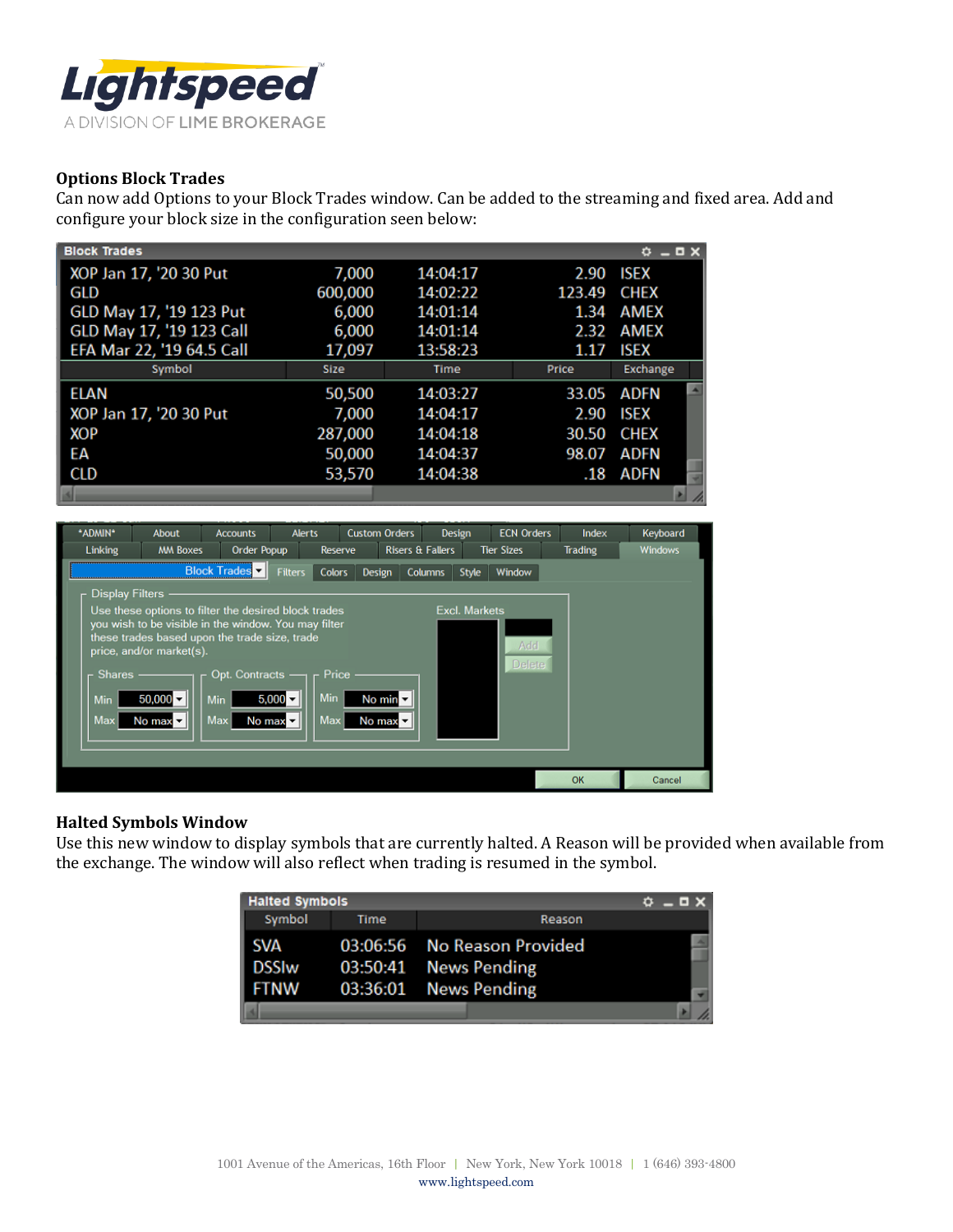

## **Options Block Trades**

Can now add Options to your Block Trades window. Can be added to the streaming and fixed area. Add and configure your block size in the configuration seen below:

| <b>Block Trades</b>       |             |          |        | $O = D \times$ |                          |
|---------------------------|-------------|----------|--------|----------------|--------------------------|
| XOP Jan 17, '20 30 Put    | 7,000       | 14:04:17 | 2.90   | <b>ISEX</b>    |                          |
| GLD                       | 600,000     | 14:02:22 | 123.49 | <b>CHEX</b>    |                          |
| GLD May 17, '19 123 Put   | 6,000       | 14:01:14 | 1.34   | AMEX           |                          |
| GLD May 17, '19 123 Call  | 6,000       | 14:01:14 | 2.32   | AMEX           |                          |
| EFA Mar 22, '19 64.5 Call | 17,097      | 13:58:23 | 1.17   | <b>ISEX</b>    |                          |
| Symbol                    | <b>Size</b> | Time     | Price  | Exchange       |                          |
| <b>ELAN</b>               | 50,500      | 14:03:27 | 33.05  | ADFN           | $\overline{\phantom{a}}$ |
| XOP Jan 17, '20 30 Put    | 7,000       | 14:04:17 | 2.90   | <b>ISEX</b>    |                          |
| <b>XOP</b>                | 287,000     | 14:04:18 | 30.50  | <b>CHEX</b>    |                          |
| EА                        | 50,000      | 14:04:37 | 98.07  | ADFN           |                          |
| CLD                       | 53,570      | 14:04:38 | .18    | ADFN           |                          |
|                           |             |          |        |                |                          |



#### **Halted Symbols Window**

Use this new window to display symbols that are currently halted. A Reason will be provided when available from the exchange. The window will also reflect when trading is resumed in the symbol.

| <b>Halted Symbols</b>                | $0 - 0X$ |                                                                               |  |
|--------------------------------------|----------|-------------------------------------------------------------------------------|--|
| Symbol                               | Time     | Reason                                                                        |  |
| <b>SVA</b><br><b>DSSIw</b><br>l ftnw |          | 03:06:56 No Reason Provided<br>03:50:41 News Pending<br>03:36:01 News Pending |  |
|                                      |          |                                                                               |  |